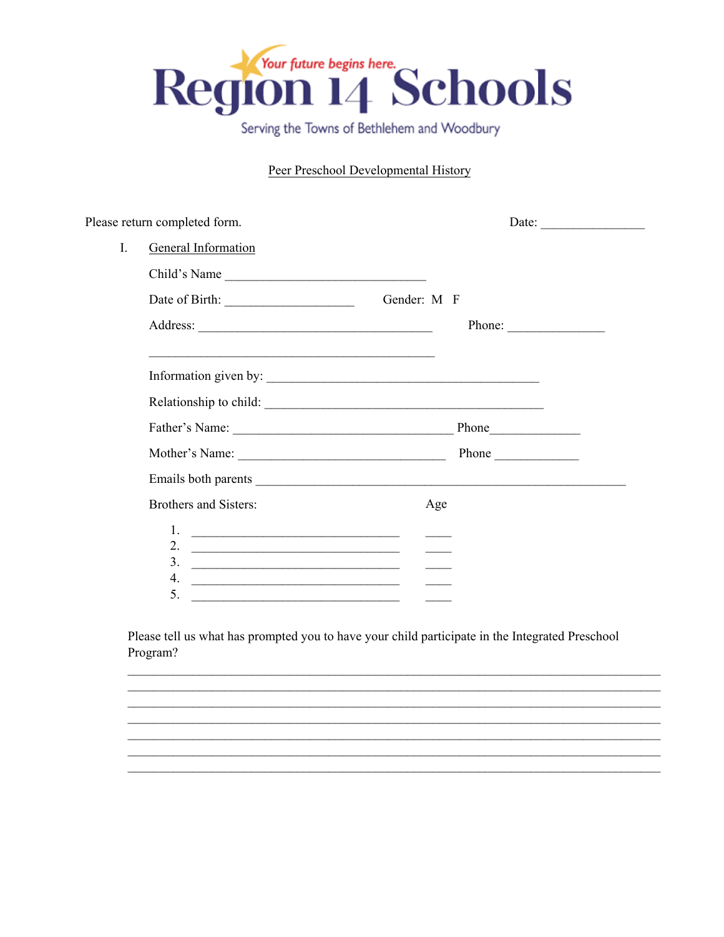

Serving the Towns of Bethlehem and Woodbury

# Peer Preschool Developmental History

|    | Please return completed form.                                                                                                                                                                                                                                                                                                                                                                                                                                                                                                                                     | Date: $\qquad \qquad$  |
|----|-------------------------------------------------------------------------------------------------------------------------------------------------------------------------------------------------------------------------------------------------------------------------------------------------------------------------------------------------------------------------------------------------------------------------------------------------------------------------------------------------------------------------------------------------------------------|------------------------|
| I. | General Information                                                                                                                                                                                                                                                                                                                                                                                                                                                                                                                                               |                        |
|    | Child's Name                                                                                                                                                                                                                                                                                                                                                                                                                                                                                                                                                      |                        |
|    | Date of Birth: Gender: M F                                                                                                                                                                                                                                                                                                                                                                                                                                                                                                                                        |                        |
|    |                                                                                                                                                                                                                                                                                                                                                                                                                                                                                                                                                                   | Phone: $\qquad \qquad$ |
|    |                                                                                                                                                                                                                                                                                                                                                                                                                                                                                                                                                                   |                        |
|    |                                                                                                                                                                                                                                                                                                                                                                                                                                                                                                                                                                   |                        |
|    |                                                                                                                                                                                                                                                                                                                                                                                                                                                                                                                                                                   |                        |
|    |                                                                                                                                                                                                                                                                                                                                                                                                                                                                                                                                                                   | Phone                  |
|    |                                                                                                                                                                                                                                                                                                                                                                                                                                                                                                                                                                   |                        |
|    | Brothers and Sisters:                                                                                                                                                                                                                                                                                                                                                                                                                                                                                                                                             | Age                    |
|    |                                                                                                                                                                                                                                                                                                                                                                                                                                                                                                                                                                   |                        |
|    |                                                                                                                                                                                                                                                                                                                                                                                                                                                                                                                                                                   |                        |
|    | $\frac{3}{2}$ $\frac{1}{2}$ $\frac{3}{2}$ $\frac{1}{2}$ $\frac{1}{2}$ $\frac{1}{2}$ $\frac{1}{2}$ $\frac{1}{2}$ $\frac{1}{2}$ $\frac{1}{2}$ $\frac{1}{2}$ $\frac{1}{2}$ $\frac{1}{2}$ $\frac{1}{2}$ $\frac{1}{2}$ $\frac{1}{2}$ $\frac{1}{2}$ $\frac{1}{2}$ $\frac{1}{2}$ $\frac{1}{2}$ $\frac{1}{2}$ $\frac{1}{2}$<br>4.<br><u> 1989 - Johann Harry Harry Harry Harry Harry Harry Harry Harry Harry Harry Harry Harry Harry Harry Harry Harry Harry Harry Harry Harry Harry Harry Harry Harry Harry Harry Harry Harry Harry Harry Harry Harry Harry Harry Ha</u> |                        |
|    | 5.<br><u> 1989 - Jan Barnett, fransk kongresu i stor i stor i stor i stor i stor i stor i stor i stor i stor i stor i s</u>                                                                                                                                                                                                                                                                                                                                                                                                                                       |                        |

Please tell us what has prompted you to have your child participate in the Integrated Preschool Program?

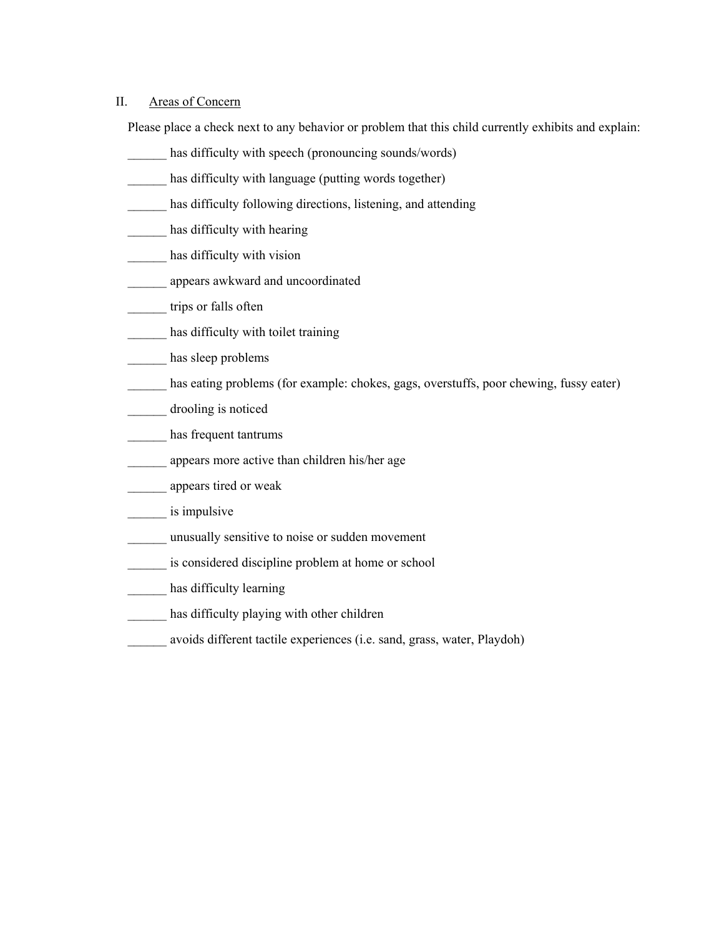#### II. Areas of Concern

Please place a check next to any behavior or problem that this child currently exhibits and explain:

- has difficulty with speech (pronouncing sounds/words)
- has difficulty with language (putting words together)
- has difficulty following directions, listening, and attending
- has difficulty with hearing
- has difficulty with vision
- \_\_\_\_\_\_ appears awkward and uncoordinated
- trips or falls often
- has difficulty with toilet training
- has sleep problems
- has eating problems (for example: chokes, gags, overstuffs, poor chewing, fussy eater)
- \_\_\_\_\_\_ drooling is noticed
- has frequent tantrums
- \_\_\_\_\_\_ appears more active than children his/her age
- \_\_\_\_\_\_ appears tired or weak
- is impulsive
- \_\_\_\_\_\_ unusually sensitive to noise or sudden movement
- \_\_\_\_\_\_ is considered discipline problem at home or school
- has difficulty learning
- has difficulty playing with other children
- \_\_\_\_\_\_ avoids different tactile experiences (i.e. sand, grass, water, Playdoh)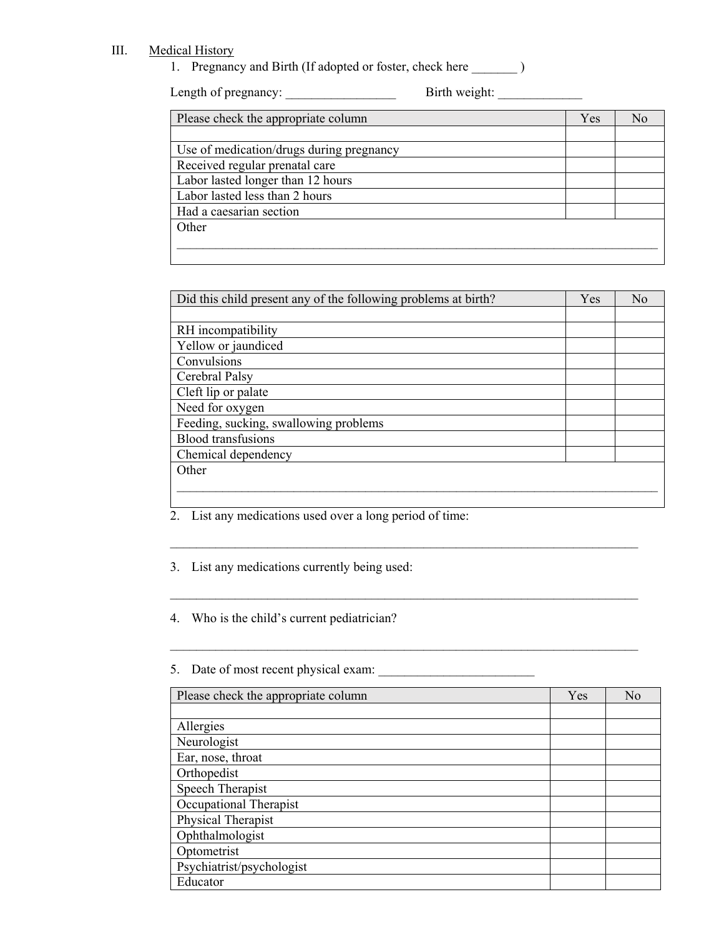### III. Medical History

1. Pregnancy and Birth (If adopted or foster, check here \_\_\_\_\_\_\_\_ )

Length of pregnancy: \_\_\_\_\_\_\_\_\_\_\_\_\_\_\_\_\_ Birth weight: \_\_\_\_\_\_\_\_\_\_\_\_\_

| Please check the appropriate column      | Yes | No |
|------------------------------------------|-----|----|
|                                          |     |    |
| Use of medication/drugs during pregnancy |     |    |
| Received regular prenatal care           |     |    |
| Labor lasted longer than 12 hours        |     |    |
| Labor lasted less than 2 hours           |     |    |
| Had a caesarian section                  |     |    |
| Other                                    |     |    |
|                                          |     |    |
|                                          |     |    |

| Did this child present any of the following problems at birth? | Yes | N <sub>0</sub> |
|----------------------------------------------------------------|-----|----------------|
|                                                                |     |                |
| RH incompatibility                                             |     |                |
| Yellow or jaundiced                                            |     |                |
| Convulsions                                                    |     |                |
| Cerebral Palsy                                                 |     |                |
| Cleft lip or palate                                            |     |                |
| Need for oxygen                                                |     |                |
| Feeding, sucking, swallowing problems                          |     |                |
| <b>Blood transfusions</b>                                      |     |                |
| Chemical dependency                                            |     |                |
| Other                                                          |     |                |
|                                                                |     |                |
|                                                                |     |                |

 $\mathcal{L}_\text{max} = \mathcal{L}_\text{max} = \mathcal{L}_\text{max} = \mathcal{L}_\text{max} = \mathcal{L}_\text{max} = \mathcal{L}_\text{max} = \mathcal{L}_\text{max} = \mathcal{L}_\text{max} = \mathcal{L}_\text{max} = \mathcal{L}_\text{max} = \mathcal{L}_\text{max} = \mathcal{L}_\text{max} = \mathcal{L}_\text{max} = \mathcal{L}_\text{max} = \mathcal{L}_\text{max} = \mathcal{L}_\text{max} = \mathcal{L}_\text{max} = \mathcal{L}_\text{max} = \mathcal{$ 

 $\mathcal{L}_\text{max} = \frac{1}{2} \sum_{i=1}^n \mathcal{L}_\text{max}(\mathbf{x}_i - \mathbf{y}_i)$ 

 $\mathcal{L}_\text{max} = \mathcal{L}_\text{max} = \mathcal{L}_\text{max} = \mathcal{L}_\text{max} = \mathcal{L}_\text{max} = \mathcal{L}_\text{max} = \mathcal{L}_\text{max} = \mathcal{L}_\text{max} = \mathcal{L}_\text{max} = \mathcal{L}_\text{max} = \mathcal{L}_\text{max} = \mathcal{L}_\text{max} = \mathcal{L}_\text{max} = \mathcal{L}_\text{max} = \mathcal{L}_\text{max} = \mathcal{L}_\text{max} = \mathcal{L}_\text{max} = \mathcal{L}_\text{max} = \mathcal{$ 

2. List any medications used over a long period of time:

3. List any medications currently being used:

4. Who is the child's current pediatrician?

5. Date of most recent physical exam: \_\_\_\_\_\_\_\_\_\_\_\_\_\_\_\_\_\_\_\_\_\_\_\_

| Please check the appropriate column | Yes | N <sub>0</sub> |
|-------------------------------------|-----|----------------|
|                                     |     |                |
| Allergies                           |     |                |
| Neurologist                         |     |                |
| Ear, nose, throat                   |     |                |
| Orthopedist                         |     |                |
| Speech Therapist                    |     |                |
| Occupational Therapist              |     |                |
| Physical Therapist                  |     |                |
| Ophthalmologist                     |     |                |
| Optometrist                         |     |                |
| Psychiatrist/psychologist           |     |                |
| Educator                            |     |                |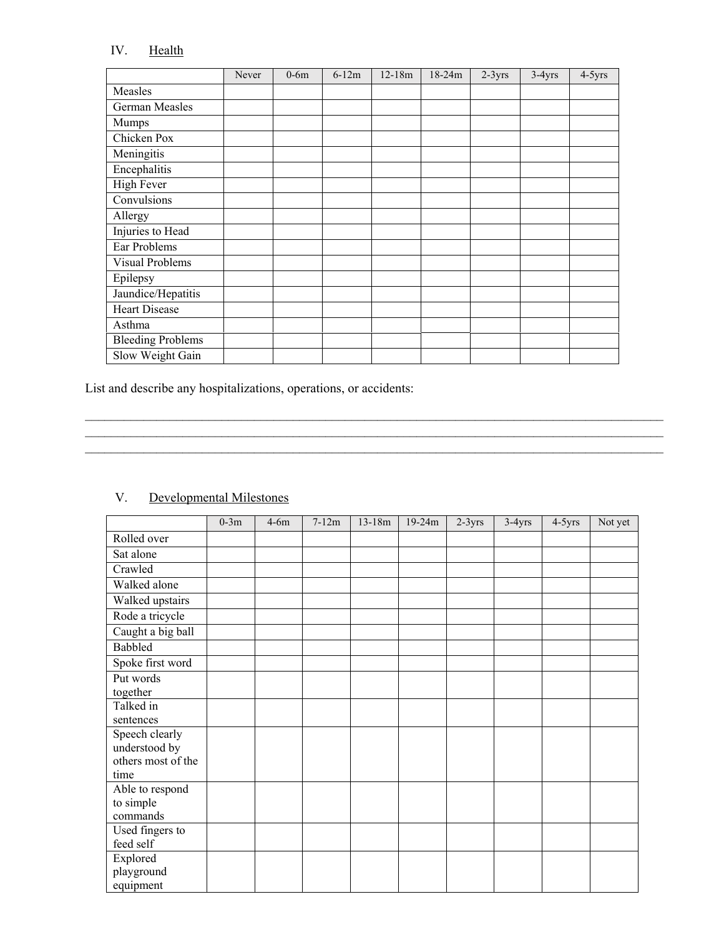## IV. Health

|                          | Never | $0-6m$ | $6-12m$ | $12-18m$ | $18 - 24m$ | $2-3yrs$ | $3-4yrs$ | $4-5yrs$ |
|--------------------------|-------|--------|---------|----------|------------|----------|----------|----------|
| Measles                  |       |        |         |          |            |          |          |          |
| German Measles           |       |        |         |          |            |          |          |          |
| Mumps                    |       |        |         |          |            |          |          |          |
| Chicken Pox              |       |        |         |          |            |          |          |          |
| Meningitis               |       |        |         |          |            |          |          |          |
| Encephalitis             |       |        |         |          |            |          |          |          |
| <b>High Fever</b>        |       |        |         |          |            |          |          |          |
| Convulsions              |       |        |         |          |            |          |          |          |
| Allergy                  |       |        |         |          |            |          |          |          |
| Injuries to Head         |       |        |         |          |            |          |          |          |
| Ear Problems             |       |        |         |          |            |          |          |          |
| Visual Problems          |       |        |         |          |            |          |          |          |
| Epilepsy                 |       |        |         |          |            |          |          |          |
| Jaundice/Hepatitis       |       |        |         |          |            |          |          |          |
| <b>Heart Disease</b>     |       |        |         |          |            |          |          |          |
| Asthma                   |       |        |         |          |            |          |          |          |
| <b>Bleeding Problems</b> |       |        |         |          |            |          |          |          |
| Slow Weight Gain         |       |        |         |          |            |          |          |          |

 $\mathcal{L}_\mathcal{L} = \mathcal{L}_\mathcal{L} = \mathcal{L}_\mathcal{L} = \mathcal{L}_\mathcal{L} = \mathcal{L}_\mathcal{L} = \mathcal{L}_\mathcal{L} = \mathcal{L}_\mathcal{L} = \mathcal{L}_\mathcal{L} = \mathcal{L}_\mathcal{L} = \mathcal{L}_\mathcal{L} = \mathcal{L}_\mathcal{L} = \mathcal{L}_\mathcal{L} = \mathcal{L}_\mathcal{L} = \mathcal{L}_\mathcal{L} = \mathcal{L}_\mathcal{L} = \mathcal{L}_\mathcal{L} = \mathcal{L}_\mathcal{L}$ 

 $\mathcal{L}_\mathcal{L} = \mathcal{L}_\mathcal{L} = \mathcal{L}_\mathcal{L} = \mathcal{L}_\mathcal{L} = \mathcal{L}_\mathcal{L} = \mathcal{L}_\mathcal{L} = \mathcal{L}_\mathcal{L} = \mathcal{L}_\mathcal{L} = \mathcal{L}_\mathcal{L} = \mathcal{L}_\mathcal{L} = \mathcal{L}_\mathcal{L} = \mathcal{L}_\mathcal{L} = \mathcal{L}_\mathcal{L} = \mathcal{L}_\mathcal{L} = \mathcal{L}_\mathcal{L} = \mathcal{L}_\mathcal{L} = \mathcal{L}_\mathcal{L}$ 

List and describe any hospitalizations, operations, or accidents:

# V. Developmental Milestones

|                    | $0-3m$ | $4-6m$ | $7-12m$ | $13-18m$ | 19-24m | $2-3yrs$ | $3-4yrs$ | $4-5yrs$ | Not yet |
|--------------------|--------|--------|---------|----------|--------|----------|----------|----------|---------|
| Rolled over        |        |        |         |          |        |          |          |          |         |
| Sat alone          |        |        |         |          |        |          |          |          |         |
| Crawled            |        |        |         |          |        |          |          |          |         |
| Walked alone       |        |        |         |          |        |          |          |          |         |
| Walked upstairs    |        |        |         |          |        |          |          |          |         |
| Rode a tricycle    |        |        |         |          |        |          |          |          |         |
| Caught a big ball  |        |        |         |          |        |          |          |          |         |
| Babbled            |        |        |         |          |        |          |          |          |         |
| Spoke first word   |        |        |         |          |        |          |          |          |         |
| Put words          |        |        |         |          |        |          |          |          |         |
| together           |        |        |         |          |        |          |          |          |         |
| Talked in          |        |        |         |          |        |          |          |          |         |
| sentences          |        |        |         |          |        |          |          |          |         |
| Speech clearly     |        |        |         |          |        |          |          |          |         |
| understood by      |        |        |         |          |        |          |          |          |         |
| others most of the |        |        |         |          |        |          |          |          |         |
| time               |        |        |         |          |        |          |          |          |         |
| Able to respond    |        |        |         |          |        |          |          |          |         |
| to simple          |        |        |         |          |        |          |          |          |         |
| commands           |        |        |         |          |        |          |          |          |         |
| Used fingers to    |        |        |         |          |        |          |          |          |         |
| feed self          |        |        |         |          |        |          |          |          |         |
| Explored           |        |        |         |          |        |          |          |          |         |
| playground         |        |        |         |          |        |          |          |          |         |
| equipment          |        |        |         |          |        |          |          |          |         |